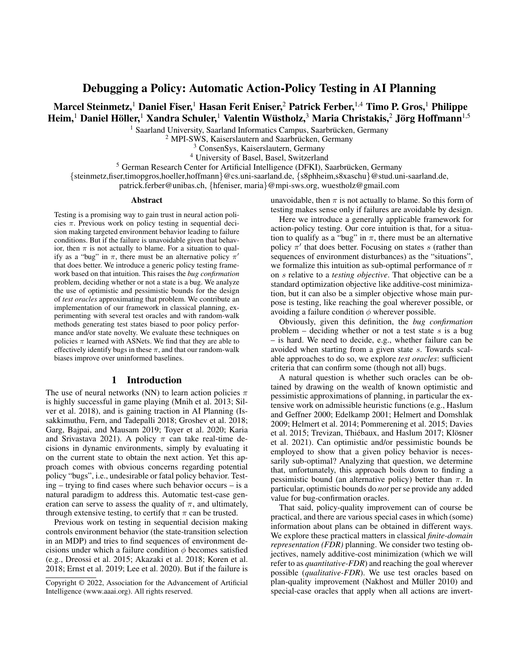# Debugging a Policy: Automatic Action-Policy Testing in AI Planning

# Marcel Steinmetz,<sup>1</sup> Daniel Fiser,<sup>1</sup> Hasan Ferit Eniser,<sup>2</sup> Patrick Ferber,<sup>1,4</sup> Timo P. Gros,<sup>1</sup> Philippe Heim, $^1$  Daniel Höller, $^1$  Xandra Schuler, $^1$  Valentin Wüstholz, $^3$  Maria Christakis, $^2$  Jörg Hoffmann $^{1,5}$

<sup>1</sup> Saarland University, Saarland Informatics Campus, Saarbrücken, Germany

 $2$  MPI-SWS, Kaiserslautern and Saarbrücken, Germany

<sup>3</sup> ConsenSys, Kaiserslautern, Germany

<sup>4</sup> University of Basel, Basel, Switzerland

<sup>5</sup> German Research Center for Artificial Intelligence (DFKI), Saarbrücken, Germany {steinmetz,fiser,timopgros,hoeller,hoffmann}@cs.uni-saarland.de, {s8phheim,s8xaschu}@stud.uni-saarland.de, patrick.ferber@unibas.ch, {hfeniser, maria}@mpi-sws.org, wuestholz@gmail.com

#### Abstract

Testing is a promising way to gain trust in neural action policies  $\pi$ . Previous work on policy testing in sequential decision making targeted environment behavior leading to failure conditions. But if the failure is unavoidable given that behavior, then  $\pi$  is not actually to blame. For a situation to qualify as a "bug" in  $\pi$ , there must be an alternative policy  $\pi'$ that does better. We introduce a generic policy testing framework based on that intuition. This raises the *bug confirmation* problem, deciding whether or not a state is a bug. We analyze the use of optimistic and pessimistic bounds for the design of *test oracles* approximating that problem. We contribute an implementation of our framework in classical planning, experimenting with several test oracles and with random-walk methods generating test states biased to poor policy performance and/or state novelty. We evaluate these techniques on policies  $\pi$  learned with ASNets. We find that they are able to effectively identify bugs in these  $\pi$ , and that our random-walk biases improve over uninformed baselines.

### 1 Introduction

The use of neural networks (NN) to learn action policies  $\pi$ is highly successful in game playing (Mnih et al. 2013; Silver et al. 2018), and is gaining traction in AI Planning (Issakkimuthu, Fern, and Tadepalli 2018; Groshev et al. 2018; Garg, Bajpai, and Mausam 2019; Toyer et al. 2020; Karia and Srivastava 2021). A policy  $\pi$  can take real-time decisions in dynamic environments, simply by evaluating it on the current state to obtain the next action. Yet this approach comes with obvious concerns regarding potential policy "bugs", i.e., undesirable or fatal policy behavior. Testing – trying to find cases where such behavior occurs – is a natural paradigm to address this. Automatic test-case generation can serve to assess the quality of  $\pi$ , and ultimately, through extensive testing, to certify that  $\pi$  can be trusted.

Previous work on testing in sequential decision making controls environment behavior (the state-transition selection in an MDP) and tries to find sequences of environment decisions under which a failure condition  $\phi$  becomes satisfied (e.g., Dreossi et al. 2015; Akazaki et al. 2018; Koren et al. 2018; Ernst et al. 2019; Lee et al. 2020). But if the failure is

unavoidable, then  $\pi$  is not actually to blame. So this form of testing makes sense only if failures are avoidable by design.

Here we introduce a generally applicable framework for action-policy testing. Our core intuition is that, for a situation to qualify as a "bug" in  $\pi$ , there must be an alternative policy  $\pi'$  that does better. Focusing on states s (rather than sequences of environment disturbances) as the "situations", we formalize this intuition as sub-optimal performance of  $\pi$ on s relative to a *testing objective*. That objective can be a standard optimization objective like additive-cost minimization, but it can also be a simpler objective whose main purpose is testing, like reaching the goal wherever possible, or avoiding a failure condition  $\phi$  wherever possible.

Obviously, given this definition, the *bug confirmation* problem – deciding whether or not a test state  $s$  is a bug – is hard. We need to decide, e.g., whether failure can be avoided when starting from a given state s. Towards scalable approaches to do so, we explore *test oracles*: sufficient criteria that can confirm some (though not all) bugs.

A natural question is whether such oracles can be obtained by drawing on the wealth of known optimistic and pessimistic approximations of planning, in particular the extensive work on admissible heuristic functions (e.g., Haslum and Geffner 2000; Edelkamp 2001; Helmert and Domshlak 2009; Helmert et al. 2014; Pommerening et al. 2015; Davies et al. 2015; Trevizan, Thiébaux, and Haslum 2017; Klösner et al. 2021). Can optimistic and/or pessimistic bounds be employed to show that a given policy behavior is necessarily sub-optimal? Analyzing that question, we determine that, unfortunately, this approach boils down to finding a pessimistic bound (an alternative policy) better than  $\pi$ . In particular, optimistic bounds do *not* per se provide any added value for bug-confirmation oracles.

That said, policy-quality improvement can of course be practical, and there are various special cases in which (some) information about plans can be obtained in different ways. We explore these practical matters in classical *finite-domain representation (FDR)* planning. We consider two testing objectives, namely additive-cost minimization (which we will refer to as *quantitative-FDR*) and reaching the goal wherever possible (*qualitative-FDR*). We use test oracles based on plan-quality improvement (Nakhost and Müller 2010) and special-case oracles that apply when all actions are invert-

Copyright © 2022, Association for the Advancement of Artificial Intelligence (www.aaai.org). All rights reserved.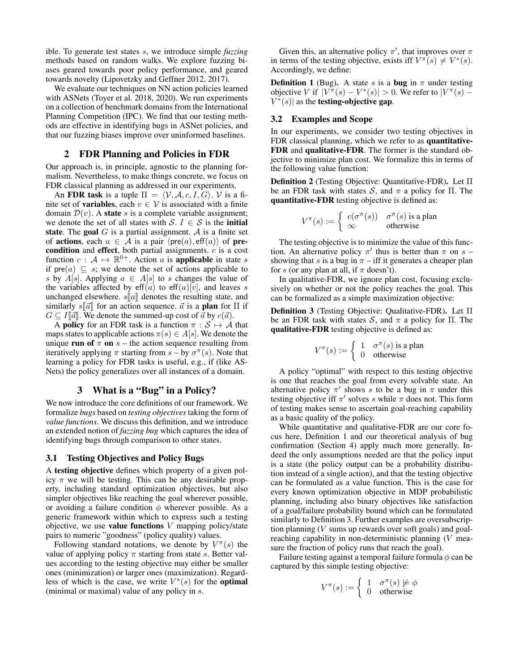ible. To generate test states s, we introduce simple *fuzzing* methods based on random walks. We explore fuzzing biases geared towards poor policy performance, and geared towards novelty (Lipovetzky and Geffner 2012, 2017).

We evaluate our techniques on NN action policies learned with ASNets (Toyer et al. 2018, 2020). We run experiments on a collection of benchmark domains from the International Planning Competition (IPC). We find that our testing methods are effective in identifying bugs in ASNet policies, and that our fuzzing biases improve over uninformed baselines.

## 2 FDR Planning and Policies in FDR

Our approach is, in principle, agnostic to the planning formalism. Nevertheless, to make things concrete, we focus on FDR classical planning as addressed in our experiments.

An FDR task is a tuple  $\Pi = \langle V, A, c, I, G \rangle$ . V is a finite set of **variables**, each  $v \in V$  is associated with a finite domain  $\mathcal{D}(v)$ . A state s is a complete variable assignment; we denote the set of all states with S.  $I \in S$  is the **initial** state. The goal  $G$  is a partial assignment.  $A$  is a finite set of **actions**, each  $a \in A$  is a pair  $\langle \text{pre}(a), \text{eff}(a) \rangle$  of **pre**condition and effect, both partial assignments. c is a cost function  $c : A \mapsto \mathbb{R}^{0+}$ . Action a is **applicable** in state s if  $pre(a) \subseteq s$ ; we denote the set of actions applicable to s by  $A[s]$ . Applying  $a \in A[s]$  to s changes the value of the variables affected by eff(a) to eff(a)[v], and leaves s unchanged elsewhere.  $s[a]$  denotes the resulting state, and similarly  $s[\vec{a}]$  for an action sequence.  $\vec{a}$  is a **plan** for  $\Pi$  if  $G \subseteq I[\vec{a}]$ . We denote the summed-up cost of  $\vec{a}$  by  $c(\vec{a})$ .

A **policy** for an FDR task is a function  $\pi : \mathcal{S} \mapsto \mathcal{A}$  that maps states to applicable actions  $\pi(s) \in A[s].$  We denote the unique run of  $\pi$  on  $s$  – the action sequence resulting from iteratively applying  $\pi$  starting from  $s - by \sigma^{\pi}(s)$ . Note that learning a policy for FDR tasks is useful, e.g., if (like AS-Nets) the policy generalizes over all instances of a domain.

## 3 What is a "Bug" in a Policy?

We now introduce the core definitions of our framework. We formalize *bugs* based on *testing objectives* taking the form of *value functions*. We discuss this definition, and we introduce an extended notion of *fuzzing bug* which captures the idea of identifying bugs through comparison to other states.

#### 3.1 Testing Objectives and Policy Bugs

A testing objective defines which property of a given policy  $\pi$  we will be testing. This can be any desirable property, including standard optimization objectives, but also simpler objectives like reaching the goal wherever possible, or avoiding a failure condition  $\phi$  wherever possible. As a generic framework within which to express such a testing objective, we use value functions  $V$  mapping policy/state pairs to numeric "goodness" (policy quality) values.

Following standard notations, we denote by  $V^{\pi}(s)$  the value of applying policy  $\pi$  starting from state s. Better values according to the testing objective may either be smaller ones (minimization) or larger ones (maximization). Regardless of which is the case, we write  $V^*(s)$  for the **optimal** (minimal or maximal) value of any policy in s.

Given this, an alternative policy  $\pi'$ , that improves over  $\pi$ in terms of the testing objective, exists iff  $V^{\pi}(s) \neq V^*(s)$ . Accordingly, we define:

**Definition 1** (Bug). A state s is a **bug** in  $\pi$  under testing objective V if  $|V^{\pi}(s) - V^*(s)| > 0$ . We refer to  $|V^{\pi}(s) V^*(s)$  as the **testing-objective gap.** 

#### 3.2 Examples and Scope

In our experiments, we consider two testing objectives in FDR classical planning, which we refer to as **quantitative-**FDR and qualitative-FDR. The former is the standard objective to minimize plan cost. We formalize this in terms of the following value function:

Definition 2 (Testing Objective: Quantitative-FDR). Let Π be an FDR task with states S, and  $\pi$  a policy for  $\Pi$ . The quantitative-FDR testing objective is defined as:

$$
V^{\pi}(s) := \begin{cases} c(\sigma^{\pi}(s)) & \sigma^{\pi}(s) \text{ is a plan} \\ \infty & \text{otherwise} \end{cases}
$$

The testing objective is to minimize the value of this function. An alternative policy  $\pi'$  thus is better than  $\pi$  on  $s$  – showing that s is a bug in  $\pi$  – iff it generates a cheaper plan for s (or any plan at all, if  $\pi$  doesn't).

In qualitative-FDR, we ignore plan cost, focusing exclusively on whether or not the policy reaches the goal. This can be formalized as a simple maximization objective:

Definition 3 (Testing Objective: Qualitative-FDR). Let Π be an FDR task with states S, and  $\pi$  a policy for II. The qualitative-FDR testing objective is defined as:

$$
V^{\pi}(s) := \begin{cases} 1 & \sigma^{\pi}(s) \text{ is a plan} \\ 0 & \text{otherwise} \end{cases}
$$

A policy "optimal" with respect to this testing objective is one that reaches the goal from every solvable state. An alternative policy  $\pi'$  shows s to be a bug in  $\pi$  under this testing objective iff  $\pi'$  solves s while  $\pi$  does not. This form of testing makes sense to ascertain goal-reaching capability as a basic quality of the policy.

While quantitative and qualitative-FDR are our core focus here, Definition 1 and our theoretical analysis of bug confirmation (Section 4) apply much more generally. Indeed the only assumptions needed are that the policy input is a state (the policy output can be a probability distribution instead of a single action), and that the testing objective can be formulated as a value function. This is the case for every known optimization objective in MDP probabilistic planning, including also binary objectives like satisfaction of a goal/failure probability bound which can be formulated similarly to Definition 3. Further examples are oversubscription planning  $(V \text{ sums up rewards over soft goals})$  and goalreaching capability in non-deterministic planning (V measure the fraction of policy runs that reach the goal).

Failure testing against a temporal failure formula  $\phi$  can be captured by this simple testing objective:

$$
V^{\pi}(s) := \begin{cases} 1 & \sigma^{\pi}(s) \not\models \phi \\ 0 & \text{otherwise} \end{cases}
$$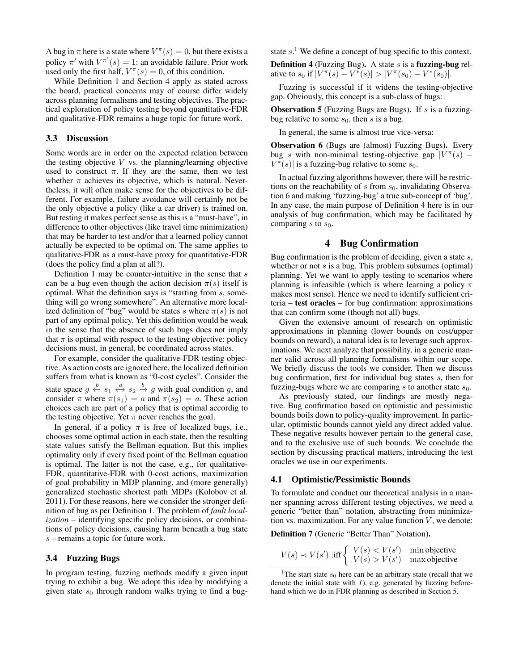A bug in  $\pi$  here is a state where  $V^{\pi}(s) = 0$ , but there exists a policy  $\pi'$  with  $V^{\pi'}(s) = 1$ : an avoidable failure. Prior work used only the first half,  $V^{\pi}(s) = 0$ , of this condition.

While Definition 1 and Section 4 apply as stated across the board, practical concerns may of course differ widely across planning formalisms and testing objectives. The practical exploration of policy testing beyond quantitative-FDR and qualitative-FDR remains a huge topic for future work.

### 3.3 Discussion

Some words are in order on the expected relation between the testing objective  $V$  vs. the planning/learning objective used to construct  $\pi$ . If they are the same, then we test whether  $\pi$  achieves its objective, which is natural. Nevertheless, it will often make sense for the objectives to be different. For example, failure avoidance will certainly not be the only objective a policy (like a car driver) is trained on. But testing it makes perfect sense as this is a "must-have", in difference to other objectives (like travel time minimization) that may be harder to test and/or that a learned policy cannot actually be expected to be optimal on. The same applies to qualitative-FDR as a must-have proxy for quantitative-FDR (does the policy find a plan at all?).

Definition 1 may be counter-intuitive in the sense that  $s$ can be a bug even though the action decision  $\pi(s)$  itself is optimal. What the definition says is "starting from s, something will go wrong somewhere". An alternative more localized definition of "bug" would be states s where  $\pi(s)$  is not part of any optimal policy. Yet this definition would be weak in the sense that the absence of such bugs does not imply that  $\pi$  is optimal with respect to the testing objective: policy decisions must, in general, be coordinated across states.

For example, consider the qualitative-FDR testing objective. As action costs are ignored here, the localized definition suffers from what is known as "0-cost cycles". Consider the state space  $g \stackrel{b}{\leftarrow} s_1 \stackrel{a}{\leftarrow} s_2 \stackrel{b}{\rightarrow} g$  with goal condition g, and consider  $\pi$  where  $\pi(s_1) = a$  and  $\pi(s_2) = a$ . These action choices each are part of a policy that is optimal accordig to the testing objective. Yet  $\pi$  never reaches the goal.

In general, if a policy  $\pi$  is free of localized bugs, i.e., chooses some optimal action in each state, then the resulting state values satisfy the Bellman equation. But this implies optimality only if every fixed point of the Bellman equation is optimal. The latter is not the case, e.g., for qualitative-FDR, quantitative-FDR with 0-cost actions, maximization of goal probability in MDP planning, and (more generally) generalized stochastic shortest path MDPs (Kolobov et al. 2011). For these reasons, here we consider the stronger definition of bug as per Definition 1. The problem of *fault localization* – identifying specific policy decisions, or combinations of policy decisions, causing harm beneath a bug state  $s$  – remains a topic for future work.

## 3.4 Fuzzing Bugs

In program testing, fuzzing methods modify a given input trying to exhibit a bug. We adopt this idea by modifying a given state  $s_0$  through random walks trying to find a bugstate  $s$ <sup>1</sup>. We define a concept of bug specific to this context.

**Definition 4** (Fuzzing Bug). A state  $s$  is a **fuzzing-bug** relative to  $s_0$  if  $|V^{\pi}(s) - V^*(s)| > |V^{\pi}(s_0) - V^*(s_0)|$ .

Fuzzing is successful if it widens the testing-objective gap. Obviously, this concept is a sub-class of bugs:

**Observation 5** (Fuzzing Bugs are Bugs). If s is a fuzzingbug relative to some  $s_0$ , then s is a bug.

In general, the same is almost true vice-versa:

Observation 6 (Bugs are (almost) Fuzzing Bugs). Every bug s with non-minimal testing-objective gap  $|V^{\pi}(s) V^*(s)$  is a fuzzing-bug relative to some  $s_0$ .

In actual fuzzing algorithms however, there will be restrictions on the reachability of s from  $s_0$ , invalidating Observation 6 and making 'fuzzing-bug' a true sub-concept of 'bug'. In any case, the main purpose of Definition 4 here is in our analysis of bug confirmation, which may be facilitated by comparing s to  $s_0$ .

### 4 Bug Confirmation

Bug confirmation is the problem of deciding, given a state  $s$ , whether or not  $s$  is a bug. This problem subsumes (optimal) planning. Yet we want to apply testing to scenarios where planning is infeasible (which is where learning a policy  $\pi$ makes most sense). Hence we need to identify sufficient criteria – test oracles – for bug confirmation: approximations that can confirm some (though not all) bugs.

Given the extensive amount of research on optimistic approximations in planning (lower bounds on cost/upper bounds on reward), a natural idea is to leverage such approximations. We next analyze that possibility, in a generic manner valid across all planning formalisms within our scope. We briefly discuss the tools we consider. Then we discuss bug confirmation, first for individual bug states  $s$ , then for fuzzing-bugs where we are comparing s to another state  $s_0$ .

As previously stated, our findings are mostly negative. Bug confirmation based on optimistic and pessimistic bounds boils down to policy-quality improvement. In particular, optimistic bounds cannot yield any direct added value. These negative results however pertain to the general case, and to the exclusive use of such bounds. We conclude the section by discussing practical matters, introducing the test oracles we use in our experiments.

#### 4.1 Optimistic/Pessimistic Bounds

To formulate and conduct our theoretical analysis in a manner spanning across different testing objectives, we need a generic "better than" notation, abstracting from minimization vs. maximization. For any value function  $V$ , we denote:

Definition 7 (Generic "Better Than" Notation).

$$
V(s) \prec V(s') \text{ iff } \begin{cases} V(s) < V(s') \\ V(s) > V(s') \\ \end{cases} \text{ min objective}
$$

<sup>&</sup>lt;sup>1</sup>The start state  $s_0$  here can be an arbitrary state (recall that we denote the initial state with  $I$ ), e.g. generated by fuzzing beforehand which we do in FDR planning as described in Section 5.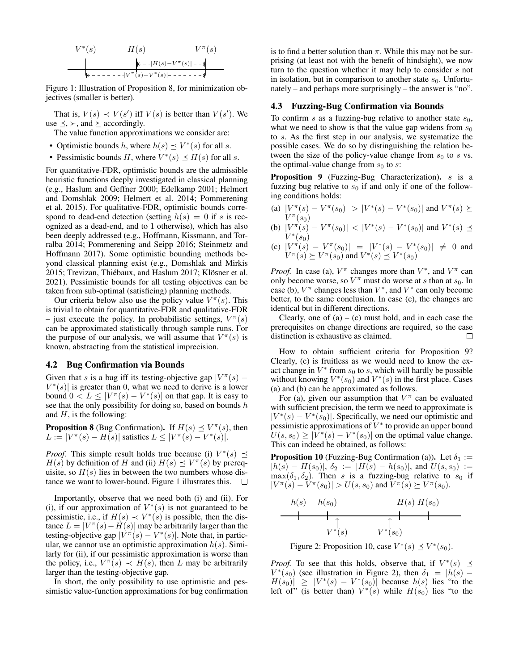$$
V^*(s) \tH(s) \tV^{\pi}(s)
$$
  
\n
$$
V^*(s) \tW(s) - V^*(s) - V^*(s) - V^*(s)
$$
  
\n
$$
V^*(s) - V^*(s) - V^*(s) - V^*(s) - V^*(s) - V^*(s) - V^*(s) - V^*(s) - V^*(s) - V^*(s) - V^*(s) - V^*(s) - V^*(s) - V^*(s) - V^*(s) - V^*(s) - V^*(s) - V^*(s) - V^*(s) - V^*(s) - V^*(s) - V^*(s) - V^*(s) - V^*(s) - V^*(s) - V^*(s) - V^*(s) - V^*(s) - V^*(s) - V^*(s) - V^*(s) - V^*(s) - V^*(s) - V^*(s) - V^*(s) - V^*(s) - V^*(s) - V^*(s) - V^*(s) - V^*(s) - V^*(s) - V^*(s) - V^*(s) - V^*(s) - V^*(s) - V^*(s) - V^*(s) - V^*(s) - V^*(s) - V^*(s) - V^*(s) - V^*(s) - V^*(s) - V^*(s) - V^*(s) - V^*(s) - V^*(s) - V^*(s) - V^*(s) - V^*(s) - V^*(s) - V^*(s) - V^*(s) - V^*(s) - V^*(s) - V^*(s) - V^*(s) - V^*(s) - V^*(s) - V^*(s) - V^*(s) - V^*(s) - V^*(s) - V^*(s) - V^*(s) - V^*(s) - V^*(s) - V^*(s) - V^*(s) - V^*(s) - V^*(s) - V^*(s) - V^*(s) - V^*(s) - V^*(s) - V^*(s) - V^*(s) - V^*(s) - V^*(s) - V^*(s) - V^*(s) - V^*(s) - V^*(s) - V^*(s) - V^*(s) - V^*(s) - V^*(s) - V^*(s) - V^*(s) - V^*(s) - V^*(s) - V^*(s) - V^*(s) - V^*(s) - V^*(s) - V^*(s) - V^*(s) - V^*(s) - V^*(s) - V^*(s) - V^*(s) - V^*(s) - V^*(s) - V^*(s) - V^*(s) -
$$

Figure 1: Illustration of Proposition 8, for minimization objectives (smaller is better).

That is,  $V(s) \prec V(s')$  iff  $V(s)$  is better than  $V(s')$ . We use  $\preceq$ ,  $\succ$ , and  $\succeq$  accordingly.

The value function approximations we consider are:

- Optimistic bounds h, where  $h(s) \preceq V^*(s)$  for all s.
- Pessimistic bounds H, where  $V^*(s) \preceq H(s)$  for all s.

For quantitative-FDR, optimistic bounds are the admissible heuristic functions deeply investigated in classical planning (e.g., Haslum and Geffner 2000; Edelkamp 2001; Helmert and Domshlak 2009; Helmert et al. 2014; Pommerening et al. 2015). For qualitative-FDR, optimistic bounds correspond to dead-end detection (setting  $h(s) = 0$  if s is recognized as a dead-end, and to 1 otherwise), which has also been deeply addressed (e.g., Hoffmann, Kissmann, and Torralba 2014; Pommerening and Seipp 2016; Steinmetz and Hoffmann 2017). Some optimistic bounding methods beyond classical planning exist (e.g., Domshlak and Mirkis 2015; Trevizan, Thiébaux, and Haslum 2017; Klösner et al. 2021). Pessimistic bounds for all testing objectives can be taken from sub-optimal (satisficing) planning methods.

Our criteria below also use the policy value  $V^{\pi}(s)$ . This is trivial to obtain for quantitative-FDR and qualitative-FDR - just execute the policy. In probabilistic settings,  $V^{\pi}(s)$ can be approximated statistically through sample runs. For the purpose of our analysis, we will assume that  $V^{\pi}(s)$  is known, abstracting from the statistical imprecision.

## 4.2 Bug Confirmation via Bounds

Given that s is a bug iff its testing-objective gap  $|V^{\pi}(s) V^*(s)$  is greater than 0, what we need to derive is a lower bound  $0 \lt L \leq |V^{\pi}(s) - V^*(s)|$  on that gap. It is easy to see that the only possibility for doing so, based on bounds  $h$ and  $H$ , is the following:

**Proposition 8** (Bug Confirmation). If  $H(s) \preceq V^{\pi}(s)$ , then  $L := |V^{\pi}(s) - H(s)|$  satisfies  $L \leq |V^{\pi}(s) - V^*(s)|$ .

*Proof.* This simple result holds true because (i)  $V^*(s) \preceq$  $H(s)$  by definition of H and (ii)  $H(s) \preceq V^{\pi}(s)$  by prerequisite, so  $H(s)$  lies in between the two numbers whose distance we want to lower-bound. Figure 1 illustrates this.  $\Box$ 

Importantly, observe that we need both (i) and (ii). For (i), if our approximation of  $V^*(s)$  is not guaranteed to be pessimistic, i.e., if  $H(s) \prec V^*(s)$  is possible, then the distance  $L = |V^{\pi}(s) - H(s)|$  may be arbitrarily larger than the testing-objective gap  $|V^{\pi}(s) - V^*(s)|$ . Note that, in particular, we cannot use an optimistic approximation  $h(s)$ . Similarly for (ii), if our pessimistic approximation is worse than the policy, i.e.,  $V^{\pi}(s) \prec H(s)$ , then L may be arbitrarily larger than the testing-objective gap.

In short, the only possibility to use optimistic and pessimistic value-function approximations for bug confirmation is to find a better solution than  $\pi$ . While this may not be surprising (at least not with the benefit of hindsight), we now turn to the question whether it may help to consider s not in isolation, but in comparison to another state  $s_0$ . Unfortunately – and perhaps more surprisingly – the answer is "no".

## 4.3 Fuzzing-Bug Confirmation via Bounds

To confirm s as a fuzzing-bug relative to another state  $s_0$ , what we need to show is that the value gap widens from  $s_0$ to s. As the first step in our analysis, we systematize the possible cases. We do so by distinguishing the relation between the size of the policy-value change from  $s_0$  to s vs. the optimal-value change from  $s_0$  to s:

Proposition 9 (Fuzzing-Bug Characterization). s is a fuzzing bug relative to  $s_0$  if and only if one of the following conditions holds:

- (a)  $|V^{\pi}(s) V^{\pi}(s_0)| > |V^*(s) V^*(s_0)|$  and  $V^{\pi}(s) \succeq$  $V^{\pi}(s_0)$
- (b)  $|V^{\pi}(s) V^{\pi}(s_0)| < |V^*(s) V^*(s_0)|$  and  $V^*(s) \preceq$  $V^*(s_0)$
- (c)  $|V^{\pi}(s) V^{\pi}(s_0)| = |V^*(s) V^*(s_0)| \neq 0$  and  $V^{\pi}(s) \succeq V^{\pi}(s_0)$  and  $V^*(s) \preceq V^*(s_0)$

*Proof.* In case (a),  $V^{\pi}$  changes more than  $V^*$ , and  $V^{\pi}$  can only become worse, so  $V^{\pi}$  must do worse at s than at  $s_0$ . In case (b),  $V^{\pi}$  changes less than  $V^*$ , and  $V^*$  can only become better, to the same conclusion. In case (c), the changes are identical but in different directions.

Clearly, one of  $(a) - (c)$  must hold, and in each case the prerequisites on change directions are required, so the case distinction is exhaustive as claimed.  $\Box$ 

How to obtain sufficient criteria for Proposition 9? Clearly, (c) is fruitless as we would need to know the exact change in  $V^*$  from  $s_0$  to s, which will hardly be possible without knowing  $V^*(s_0)$  and  $V^*(s)$  in the first place. Cases (a) and (b) can be approximated as follows.

For (a), given our assumption that  $V^{\pi}$  can be evaluated with sufficient precision, the term we need to approximate is  $|V^*(s) - V^*(s_0)|$ . Specifically, we need our optimistic and pessimistic approximations of  $V^*$  to provide an upper bound  $U(s, s_0) \geq |\overline{V}^*(s) - V^*(s_0)|$  on the optimal value change. This can indeed be obtained, as follows:

**Proposition 10** (Fuzzing-Bug Confirmation (a)). Let  $\delta_1$  :=  $|h(s) - H(s_0)|$ ,  $\delta_2 := |H(s) - h(s_0)|$ , and  $U(s, s_0) :=$  $\max(\delta_1, \delta_2)$ . Then s is a fuzzing-bug relative to s<sub>0</sub> if  $|V^{\pi}(s) - V^{\pi}(s_0)| > U(s, s_0)$  and  $V^{\pi}(s) \succeq V^{\pi}(s_0)$ .



Figure 2: Proposition 10, case  $V^*(s) \preceq V^*(s_0)$ .

*Proof.* To see that this holds, observe that, if  $V^*(s) \preceq$  $V^*(s_0)$  (see illustration in Figure 2), then  $\delta_1 = |h(s) H(s_0)| \geq |V^*(s) - V^*(s_0)|$  because  $h(s)$  lies "to the left of" (is better than)  $V^*(s)$  while  $H(s_0)$  lies "to the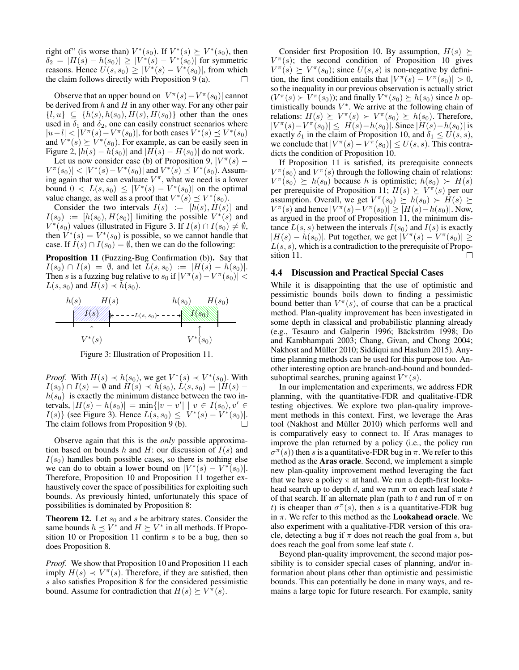right of" (is worse than)  $V^*(s_0)$ . If  $V^*(s) \succeq V^*(s_0)$ , then  $\delta_2 = |H(s) - h(s_0)| \ge |V^*(s) - V^*(s_0)|$  for symmetric reasons. Hence  $U(s, s_0) \ge |V^*(s) - V^*(s_0)|$ , from which the claim follows directly with Proposition 9 (a). П

Observe that an upper bound on  $|V^{\pi}(s) - V^{\pi}(s_0)|$  cannot be derived from  $h$  and  $H$  in any other way. For any other pair  $\{l, u\} \subseteq \{h(s), h(s_0), H(s), H(s_0)\}\$  other than the ones used in  $\delta_1$  and  $\delta_2$ , one can easily construct scenarios where  $|u-l| < |V^{\pi}(s) - V^{\pi}(s_0)|$ , for both cases  $V^*(s) \preceq V^*(s_0)$ and  $V^*(s) \succeq V^*(s_0)$ . For example, as can be easily seen in Figure 2,  $|h(s) - h(s_0)|$  and  $|H(s) - H(s_0)|$  do not work.

Let us now consider case (b) of Proposition 9,  $|V^{\pi}(s) |V^{\pi}(s_0)| < |V^*(s) - V^*(s_0)|$  and  $V^*(s) \preceq V^*(s_0)$ . Assuming again that we can evaluate  $V^{\pi}$ , what we need is a lower bound  $0 < L(s, s_0) \leq |V^*(s) - V^*(s_0)|$  on the optimal value change, as well as a proof that  $V^*(s) \preceq V^*(s_0)$ .

Consider the two intervals  $I(s) := [h(s), H(s)]$  and  $I(s_0) := [h(s_0), H(s_0)]$  limiting the possible  $V^*(s)$  and  $V^*(s_0)$  values (illustrated in Figure 3. If  $I(s) \cap I(s_0) \neq \emptyset$ , then  $V^*(s) = V^*(s_0)$  is possible, so we cannot handle that case. If  $I(s) \cap I(s_0) = \emptyset$ , then we can do the following:

Proposition 11 (Fuzzing-Bug Confirmation (b)). Say that  $I(s_0) \cap I(s) = \emptyset$ , and let  $L(s, s_0) := |H(s) - h(s_0)|$ . Then s is a fuzzing bug relative to  $s_0$  if  $|V^{\pi}(s) - V^{\pi}(s_0)|$  <  $L(s, s_0)$  and  $H(s) \prec h(s_0)$ .



Figure 3: Illustration of Proposition 11.

*Proof.* With  $H(s) \prec h(s_0)$ , we get  $V^*(s) \prec V^*(s_0)$ . With  $I(s_0) \cap I(s) = \emptyset$  and  $H(s) \prec h(s_0), L(s, s_0) = |H(s)$  $h(s_0)$  is exactly the minimum distance between the two intervals,  $|H(s) - h(s_0)| = \min\{|v - v'| \mid v \in I(s_0), v' \in$  $I(s)$ } (see Figure 3). Hence  $L(s, s_0) \le |V^*(s) - V^*(s_0)|$ . The claim follows from Proposition 9 (b).

Observe again that this is the *only* possible approximation based on bounds h and H: our discussion of  $I(s)$  and  $I(s_0)$  handles both possible cases, so there is nothing else we can do to obtain a lower bound on  $|V^*(s) - V^*(s_0)|$ . Therefore, Proposition 10 and Proposition 11 together exhaustively cover the space of possibilities for exploiting such bounds. As previously hinted, unfortunately this space of possibilities is dominated by Proposition 8:

**Theorem 12.** Let  $s_0$  and s be arbitrary states. Consider the same bounds  $h \preceq V^*$  and  $H \succeq V^*$  in all methods. If Proposition 10 or Proposition 11 confirm s to be a bug, then so does Proposition 8.

*Proof.* We show that Proposition 10 and Proposition 11 each imply  $H(s) \prec V^{\pi}(s)$ . Therefore, if they are satisfied, then s also satisfies Proposition 8 for the considered pessimistic bound. Assume for contradiction that  $H(s) \succeq V^{\pi}(s)$ .

Consider first Proposition 10. By assumption,  $H(s) \succeq$  $V^{\pi}(s)$ ; the second condition of Proposition 10 gives  $V^{\pi}(s) \succeq V^{\pi}(s_0)$ ; since  $U(s, s)$  is non-negative by definition, the first condition entails that  $|V^{\pi}(s) - V^{\pi}(s_0)| > 0$ , so the inequality in our previous observation is actually strict  $(V^{\pi}(s) \succ V^{\pi}(s_0))$ ; and finally  $V^{\pi}(s_0) \succeq h(s_0)$  since h optimistically bounds  $V^*$ . We arrive at the following chain of relations:  $H(s) \succeq V^{\pi}(s) \succ V^{\pi}(s_0) \succeq h(s_0)$ . Therefore,  $|V^{\pi}(s) - V^{\pi}(s_0)| \leq |H(s) - h(s_0)|$ . Since  $|H(s) - h(s_0)|$  is exactly  $\delta_1$  in the claim of Proposition 10, and  $\delta_1 \leq U(s, s)$ , we conclude that  $|V^{\pi}(s) - V^{\pi}(s_0)| \le U(s, s)$ . This contradicts the condition of Proposition 10.

If Proposition 11 is satisfied, its prerequisite connects  $V^{\pi}(s_0)$  and  $V^{\pi}(s)$  through the following chain of relations:  $V^{\pi}(s_0) \succeq h(s_0)$  because h is optimistic;  $h(s_0) \succ H(s)$ per prerequisite of Proposition 11;  $H(s) \succeq V^{\pi}(s)$  per our assumption. Overall, we get  $V^{\pi}(s_0) \succeq h(s_0) \succ H(s) \succeq$  $V^{\pi}(s)$  and hence  $|V^{\pi}(s) - V^{\pi}(s_0)| \geq |H(s) - h(s_0)|$ . Now, as argued in the proof of Proposition 11, the minimum distance  $L(s, s)$  between the intervals  $I(s_0)$  and  $I(s)$  is exactly  $|H(s) - h(s_0)|$ . Put together, we get  $|\tilde{V}^{\pi}(s) - V^{\pi}(s_0)| \ge$  $L(s, s)$ , which is a contradiction to the prerequisite of Proposition 11.  $\Box$ 

#### 4.4 Discussion and Practical Special Cases

While it is disappointing that the use of optimistic and pessimistic bounds boils down to finding a pessimistic bound better than  $V^{\pi}(s)$ , of course that can be a practical method. Plan-quality improvement has been investigated in some depth in classical and probabilistic planning already (e.g., Tesauro and Galperin 1996; Bäckström 1998; Do and Kambhampati 2003; Chang, Givan, and Chong 2004; Nakhost and Müller 2010; Siddiqui and Haslum 2015). Anytime planning methods can be used for this purpose too. Another interesting option are branch-and-bound and boundedsuboptimal searches, pruning against  $V^{\pi}(s)$ .

In our implementation and experiments, we address FDR planning, with the quantitative-FDR and qualitative-FDR testing objectives. We explore two plan-quality improvement methods in this context. First, we leverage the Aras tool (Nakhost and Müller 2010) which performs well and is comparatively easy to connect to. If Aras manages to improve the plan returned by a policy (i.e., the policy run  $\sigma^{\pi}(s)$ ) then s is a quantitative-FDR bug in  $\pi$ . We refer to this method as the Aras oracle. Second, we implement a simple new plan-quality improvement method leveraging the fact that we have a policy  $\pi$  at hand. We run a depth-first lookahead search up to depth d, and we run  $\pi$  on each leaf state t of that search. If an alternate plan (path to t and run of  $\pi$  on t) is cheaper than  $\sigma^{\pi}(s)$ , then s is a quantitative-FDR bug in  $\pi$ . We refer to this method as the **Lookahead oracle**. We also experiment with a qualitative-FDR version of this oracle, detecting a bug if  $\pi$  does not reach the goal from s, but does reach the goal from some leaf state  $t$ .

Beyond plan-quality improvement, the second major possibility is to consider special cases of planning, and/or information about plans other than optimistic and pessimistic bounds. This can potentially be done in many ways, and remains a large topic for future research. For example, sanity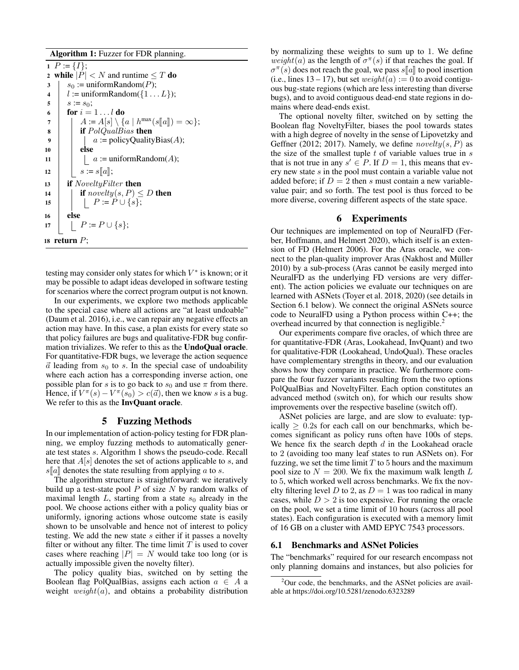Algorithm 1: Fuzzer for FDR planning.

1  $P := \{I\};$ 2 while  $|P| < N$  and runtime  $\leq T$  do  $3 \mid s_0 := \text{uniformRandom}(P);$ 4  $|$  := uniformRandom({1...  $L$ }); 5  $s := s_0;$ 6 for  $i = 1 \ldots l$  do  $\begin{array}{c} \mathbf{7} \\ \mathbf{s} \end{array}$   $A := A[s] \setminus \{a \mid h^{\max}(s[\![a]\!]) = \infty\};$ <br>**if**  $P_0 I Q_{\text{val}} B_{\text{ias}}$  then 8 **if** PolQualBias then 9  $| \cdot | \cdot |$  a := policyQualityBias(A); 10 **else** 11  $\vert \cdot \vert$  a := uniformRandom(A); 12  $\Big| \begin{matrix} \begin{matrix} \end{matrix} \end{matrix} \begin{matrix} s := s[\![a]\!]; \\ \begin{matrix} \end{matrix} \end{matrix} \begin{matrix} \end{matrix} \begin{matrix} \end{matrix} \end{matrix}$  if *NoveltuFill* if  $NoweltyFilter$  then 14 **if** novelty(s, P)  $\leq D$  then 15 | | |  $P := P \cup \{s\};$ 16 else 17 | |  $P := P \cup \{s\};$ 18 return  $P$ ;

testing may consider only states for which  $V^*$  is known; or it may be possible to adapt ideas developed in software testing for scenarios where the correct program output is not known.

In our experiments, we explore two methods applicable to the special case where all actions are "at least undoable" (Daum et al. 2016), i.e., we can repair any negative effects an action may have. In this case, a plan exists for every state so that policy failures are bugs and qualitative-FDR bug confirmation trivializes. We refer to this as the UndoQual oracle. For quantitative-FDR bugs, we leverage the action sequence  $\vec{a}$  leading from  $s_0$  to s. In the special case of undoability where each action has a corresponding inverse action, one possible plan for s is to go back to  $s_0$  and use  $\pi$  from there. Hence, if  $V^{\pi}(s) - V^{\pi}(s_0) > c(\vec{a})$ , then we know s is a bug. We refer to this as the **InvQuant oracle**.

### 5 Fuzzing Methods

In our implementation of action-policy testing for FDR planning, we employ fuzzing methods to automatically generate test states s. Algorithm 1 shows the pseudo-code. Recall here that  $A[s]$  denotes the set of actions applicable to s, and  $s[a]$  denotes the state resulting from applying a to s.

The algorithm structure is straightforward: we iteratively build up a test-state pool  $P$  of size  $N$  by random walks of maximal length  $L$ , starting from a state  $s_0$  already in the pool. We choose actions either with a policy quality bias or uniformly, ignoring actions whose outcome state is easily shown to be unsolvable and hence not of interest to policy testing. We add the new state s either if it passes a novelty filter or without any filter. The time limit  $T$  is used to cover cases where reaching  $|P| = N$  would take too long (or is actually impossible given the novelty filter).

The policy quality bias, switched on by setting the Boolean flag PolQualBias, assigns each action  $a \in A$  a weight  $weight(a)$ , and obtains a probability distribution

by normalizing these weights to sum up to 1. We define weight(a) as the length of  $\sigma^{\pi}(s)$  if that reaches the goal. If  $\sigma^{\pi}(s)$  does not reach the goal, we pass  $s[[a]]$  to pool insertion<br>(i.e. lines 13 – 17) but set *weight*(a) : – 0 to avoid contigu-(i.e., lines  $13 - 17$ ), but set  $weight(a) := 0$  to avoid contiguous bug-state regions (which are less interesting than diverse bugs), and to avoid contiguous dead-end state regions in domains where dead-ends exist.

The optional novelty filter, switched on by setting the Boolean flag NoveltyFilter, biases the pool towards states with a high degree of novelty in the sense of Lipovetzky and Geffner (2012; 2017). Namely, we define  $novelty(s, P)$  as the size of the smallest tuple  $t$  of variable values true in  $s$ that is not true in any  $s' \in P$ . If  $D = 1$ , this means that every new state s in the pool must contain a variable value not added before; if  $D = 2$  then s must contain a new variablevalue pair; and so forth. The test pool is thus forced to be more diverse, covering different aspects of the state space.

### 6 Experiments

Our techniques are implemented on top of NeuralFD (Ferber, Hoffmann, and Helmert 2020), which itself is an extension of FD (Helmert 2006). For the Aras oracle, we connect to the plan-quality improver Aras (Nakhost and Müller 2010) by a sub-process (Aras cannot be easily merged into NeuralFD as the underlying FD versions are very different). The action policies we evaluate our techniques on are learned with ASNets (Toyer et al. 2018, 2020) (see details in Section 6.1 below). We connect the original ASNets source code to NeuralFD using a Python process within C++; the overhead incurred by that connection is negligible.<sup>2</sup>

Our experiments compare five oracles, of which three are for quantitative-FDR (Aras, Lookahead, InvQuant) and two for qualitative-FDR (Lookahead, UndoQual). These oracles have complementary strengths in theory, and our evaluation shows how they compare in practice. We furthermore compare the four fuzzer variants resulting from the two options PolQualBias and NoveltyFilter. Each option constitutes an advanced method (switch on), for which our results show improvements over the respective baseline (switch off).

ASNet policies are large, and are slow to evaluate: typically  $\geq 0.2$ s for each call on our benchmarks, which becomes significant as policy runs often have 100s of steps. We hence fix the search depth  $d$  in the Lookahead oracle to 2 (avoiding too many leaf states to run ASNets on). For fuzzing, we set the time limit  $T$  to 5 hours and the maximum pool size to  $N = 200$ . We fix the maximum walk length L to 5, which worked well across benchmarks. We fix the novelty filtering level D to 2, as  $D = 1$  was too radical in many cases, while  $D > 2$  is too expensive. For running the oracle on the pool, we set a time limit of 10 hours (across all pool states). Each configuration is executed with a memory limit of 16 GB on a cluster with AMD EPYC 7543 processors.

#### 6.1 Benchmarks and ASNet Policies

The "benchmarks" required for our research encompass not only planning domains and instances, but also policies for

 $2^2$ Our code, the benchmarks, and the ASNet policies are available at https://doi.org/10.5281/zenodo.6323289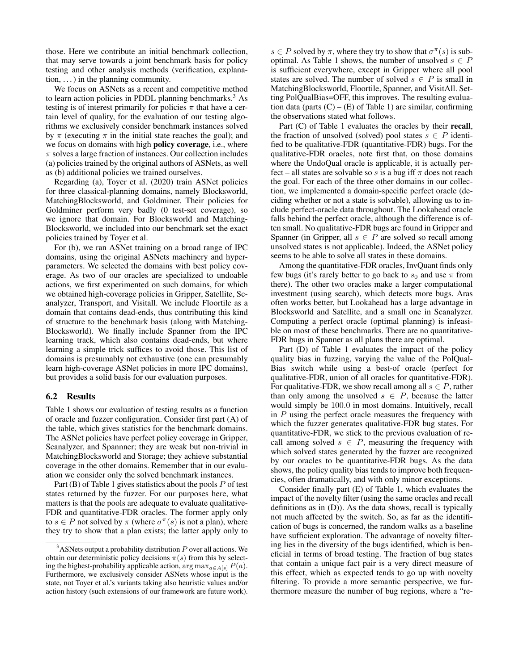those. Here we contribute an initial benchmark collection, that may serve towards a joint benchmark basis for policy testing and other analysis methods (verification, explanation,  $\dots$ ) in the planning community.

We focus on ASNets as a recent and competitive method to learn action policies in PDDL planning benchmarks.<sup>3</sup> As testing is of interest primarily for policies  $\pi$  that have a certain level of quality, for the evaluation of our testing algorithms we exclusively consider benchmark instances solved by  $\pi$  (executing  $\pi$  in the initial state reaches the goal); and we focus on domains with high policy coverage, i.e., where  $\pi$  solves a large fraction of instances. Our collection includes (a) policies trained by the original authors of ASNets, as well as (b) additional policies we trained ourselves.

Regarding (a), Toyer et al. (2020) train ASNet policies for three classical-planning domains, namely Blocksworld, MatchingBlocksworld, and Goldminer. Their policies for Goldminer perform very badly (0 test-set coverage), so we ignore that domain. For Blocksworld and Matching-Blocksworld, we included into our benchmark set the exact policies trained by Toyer et al.

For (b), we ran ASNet training on a broad range of IPC domains, using the original ASNets machinery and hyperparameters. We selected the domains with best policy coverage. As two of our oracles are specialized to undoable actions, we first experimented on such domains, for which we obtained high-coverage policies in Gripper, Satellite, Scanalyzer, Transport, and Visitall. We include Floortile as a domain that contains dead-ends, thus contributing this kind of structure to the benchmark basis (along with Matching-Blocksworld). We finally include Spanner from the IPC learning track, which also contains dead-ends, but where learning a simple trick suffices to avoid those. This list of domains is presumably not exhaustive (one can presumably learn high-coverage ASNet policies in more IPC domains), but provides a solid basis for our evaluation purposes.

### 6.2 Results

Table 1 shows our evaluation of testing results as a function of oracle and fuzzer configuration. Consider first part (A) of the table, which gives statistics for the benchmark domains. The ASNet policies have perfect policy coverage in Gripper, Scanalyzer, and Spannner; they are weak but non-trivial in MatchingBlocksworld and Storage; they achieve substantial coverage in the other domains. Remember that in our evaluation we consider only the solved benchmark instances.

Part (B) of Table 1 gives statistics about the pools  $P$  of test states returned by the fuzzer. For our purposes here, what matters is that the pools are adequate to evaluate qualitative-FDR and quantitative-FDR oracles. The former apply only to  $s \in P$  not solved by  $\pi$  (where  $\sigma^{\pi}(s)$  is not a plan), where they try to show that a plan exists; the latter apply only to

 $s \in P$  solved by  $\pi$ , where they try to show that  $\sigma^{\pi}(s)$  is suboptimal. As Table 1 shows, the number of unsolved  $s \in P$ is sufficient everywhere, except in Gripper where all pool states are solved. The number of solved  $s \in P$  is small in MatchingBlocksworld, Floortile, Spanner, and VisitAll. Setting PolQualBias=OFF, this improves. The resulting evaluation data (parts  $(C) - (E)$  of Table 1) are similar, confirming the observations stated what follows.

Part (C) of Table 1 evaluates the oracles by their **recall**, the fraction of unsolved (solved) pool states  $s \in P$  identified to be qualitative-FDR (quantitative-FDR) bugs. For the qualitative-FDR oracles, note first that, on those domains where the UndoQual oracle is applicable, it is actually perfect – all states are solvable so s is a bug iff  $\pi$  does not reach the goal. For each of the three other domains in our collection, we implemented a domain-specific perfect oracle (deciding whether or not a state is solvable), allowing us to include perfect-oracle data throughout. The Lookahead oracle falls behind the perfect oracle, although the difference is often small. No qualitative-FDR bugs are found in Gripper and Spanner (in Gripper, all  $s \in P$  are solved so recall among unsolved states is not applicable). Indeed, the ASNet policy seems to be able to solve all states in these domains.

Among the quantitative-FDR oracles, InvQuant finds only few bugs (it's rarely better to go back to  $s_0$  and use  $\pi$  from there). The other two oracles make a larger computational investment (using search), which detects more bugs. Aras often works better, but Lookahead has a large advantage in Blocksworld and Satellite, and a small one in Scanalyzer. Computing a perfect oracle (optimal planning) is infeasible on most of these benchmarks. There are no quantitative-FDR bugs in Spanner as all plans there are optimal.

Part (D) of Table 1 evaluates the impact of the policy quality bias in fuzzing, varying the value of the PolQual-Bias switch while using a best-of oracle (perfect for qualitative-FDR, union of all oracles for quantitative-FDR). For qualitative-FDR, we show recall among all  $s \in P$ , rather than only among the unsolved  $s \in P$ , because the latter would simply be 100.0 in most domains. Intuitively, recall in  $P$  using the perfect oracle measures the frequency with which the fuzzer generates qualitative-FDR bug states. For quantitative-FDR, we stick to the previous evaluation of recall among solved  $s \in P$ , measuring the frequency with which solved states generated by the fuzzer are recognized by our oracles to be quantitative-FDR bugs. As the data shows, the policy quality bias tends to improve both frequencies, often dramatically, and with only minor exceptions.

Consider finally part (E) of Table 1, which evaluates the impact of the novelty filter (using the same oracles and recall definitions as in (D)). As the data shows, recall is typically not much affected by the switch. So, as far as the identification of bugs is concerned, the random walks as a baseline have sufficient exploration. The advantage of novelty filtering lies in the diversity of the bugs identified, which is beneficial in terms of broad testing. The fraction of bug states that contain a unique fact pair is a very direct measure of this effect, which as expected tends to go up with novelty filtering. To provide a more semantic perspective, we furthermore measure the number of bug regions, where a "re-

 $3$ ASNets output a probability distribution P over all actions. We obtain our deterministic policy decisions  $\pi(s)$  from this by selecting the highest-probability applicable action,  $\arg \max_{a \in A[s]} P(a)$ . Furthermore, we exclusively consider ASNets whose input is the state, not Toyer et al.'s variants taking also heuristic values and/or action history (such extensions of our framework are future work).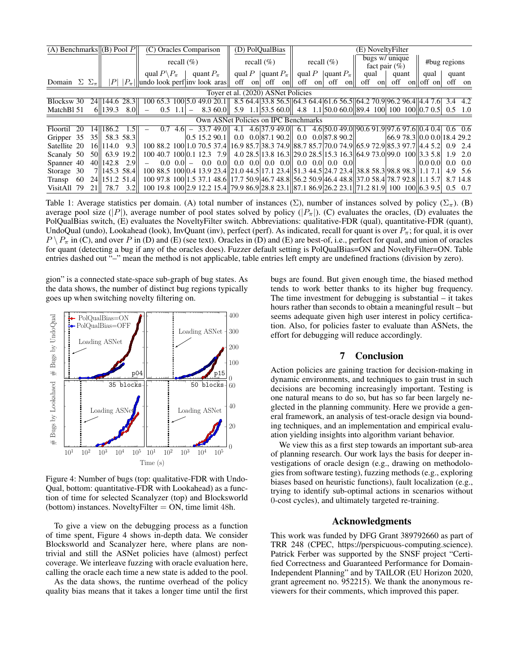| (A) Benchmarks $  (B)$ Pool P        |       |                  | (C) Oracles Comparison |                                                 |                    |                    |  |                 | (D) PolQualBias                               |     |  |                                | (E) NoveltyFilter |                                               |        |                            |                                    |                                                                                                         |        |                             |              |      |  |                      |         |
|--------------------------------------|-------|------------------|------------------------|-------------------------------------------------|--------------------|--------------------|--|-----------------|-----------------------------------------------|-----|--|--------------------------------|-------------------|-----------------------------------------------|--------|----------------------------|------------------------------------|---------------------------------------------------------------------------------------------------------|--------|-----------------------------|--------------|------|--|----------------------|---------|
|                                      |       |                  |                        | recall $(\% )$                                  |                    |                    |  |                 | recall $(\%)$                                 |     |  |                                | recall $(\%)$     |                                               |        |                            | bugs w/ unique<br>fact pair $(\%)$ |                                                                                                         |        |                             | #bug regions |      |  |                      |         |
|                                      |       |                  |                        | qual $P \backslash P_{\pi}$                     |                    |                    |  | quant $P_{\pi}$ |                                               |     |  | qual P $\ $ quant $P_{\pi} \ $ |                   |                                               |        | qual P $ $ quant $P_{\pi}$ |                                    | qual                                                                                                    |        | quant                       |              | qual |  | quant                |         |
| Domain $\Sigma \Sigma_{\pi}$         |       |                  |                        | $ P $ $ P_{\pi}  $ undo look perf inv look aras |                    |                    |  |                 |                                               | off |  |                                | on off on         |                                               | off on |                            | off on                             |                                                                                                         | off on |                             |              |      |  | off onloff on off on |         |
| Toyer et al. (2020) ASNet Policies   |       |                  |                        |                                                 |                    |                    |  |                 |                                               |     |  |                                |                   |                                               |        |                            |                                    |                                                                                                         |        |                             |              |      |  |                      |         |
| Blocksw 30                           |       | 24 144.6         | 28.3                   |                                                 |                    |                    |  |                 | 100 65.3 100 5.0 49.0 20.1                    |     |  |                                |                   |                                               |        |                            |                                    | $\frac{1}{6}$ 8.5 64.4 33.8 56.5 64.4 64.3 64.4 61.6 56.5 64.2 70.9 96.2 96.4 4.4 7.6 3.4 4.2           |        |                             |              |      |  |                      |         |
| MatchBl 51                           |       | 6  139.3 8.0     |                        |                                                 | $0.5 \quad 1.11 -$ |                    |  |                 |                                               |     |  |                                |                   |                                               |        |                            |                                    | 8.3 60.0   5.9 1.1   53.5 60.0   4.8 1.1   50.0 60.0   89.4 100   100 100   $ 0.7 \, 0.5 $ 0.5 1.0      |        |                             |              |      |  |                      |         |
| Own ASNet Policies on IPC Benchmarks |       |                  |                        |                                                 |                    |                    |  |                 |                                               |     |  |                                |                   |                                               |        |                            |                                    |                                                                                                         |        |                             |              |      |  |                      |         |
| Floortil<br>20                       | 14    | 186.2            | -1.51                  |                                                 |                    | $0.7 \, 4.6$   $-$ |  |                 | 33.749.0                                      |     |  |                                |                   |                                               |        |                            |                                    | 4.1 4.6 37.9 49.0 6.1 4.6 50.0 49.0 90.6 91.9 97.6 97.6 0.4 0.4 0.6 0.6                                 |        |                             |              |      |  |                      |         |
| Gripper 35                           |       | 35 58.3 58.3     |                        |                                                 |                    |                    |  |                 | $\vert 0.5 \vert 15.2 \vert 90.1 \vert \vert$ |     |  |                                |                   | $0.0$ $0.0 87.1 90.2 $ $0.0$ $0.0 87.8 90.2 $ |        |                            |                                    |                                                                                                         |        | 66.978.3   0.00.0  18.429.2 |              |      |  |                      |         |
| Satellite 20                         |       | 16 114.0         | 9.3                    |                                                 |                    |                    |  |                 |                                               |     |  |                                |                   |                                               |        |                            |                                    | 100 88.2 100 1.0 70.5 37.4 16.9 85.7 38.3 74.9 88.7 85.7 70.0 74.9 65.9 72.9 85.3 97.7 4.4 5.2 0.9 2.4  |        |                             |              |      |  |                      |         |
| Scanaly 50                           |       | 50 63.9 19.2     |                        |                                                 |                    |                    |  |                 |                                               |     |  |                                |                   |                                               |        |                            |                                    | 100 40.7 100 0.1 12.3 7.9 4.0 28.5 13.8 16.3 29.0 28.5 15.3 16.3 6.9 73.0 99.0 100 3.3 5.8 1.9 2.0      |        |                             |              |      |  |                      |         |
| Spanner 40                           |       | $40$   142.8 2.9 |                        |                                                 |                    | $0.0 \quad 0.01 -$ |  |                 | $0.0 \quad 0.0$                               |     |  |                                |                   |                                               |        |                            |                                    |                                                                                                         |        |                             |              |      |  | 0.0 0.0  0.0 0.0     |         |
| Storage 30                           |       | 7 145.3 58.4     |                        |                                                 |                    |                    |  |                 |                                               |     |  |                                |                   |                                               |        |                            |                                    | 100 88.5 100 0.4 13.9 23.4 21.0 44.5 17.1 23.4 5 1.3 44.5 24.7 23.4 38.8 58.3 98.8 98.3 1.1 7.1         |        |                             |              |      |  |                      | 4.9 5.6 |
| 60<br>Transp                         |       | 24 151.2 51.4    |                        |                                                 |                    |                    |  |                 |                                               |     |  |                                |                   |                                               |        |                            |                                    | 100 97.8 100 1.5 37.1 48.6 17.7 50.9 46.7 48.8 56.2 50.9 46.4 48.8 37.0 58.4 78.7 92.8 1.1 5.7 8.7 14.8 |        |                             |              |      |  |                      |         |
| VisitAll 79                          | 21 II | 78.7             | 3.2                    |                                                 |                    |                    |  |                 |                                               |     |  |                                |                   |                                               |        |                            |                                    | 100 19.8 100 2.9 12.2 15.4 79.9 86.9 28.8 23.1 87.1 86.9 26.2 23.1 71.2 81.9 100 100 6.3 9.5            |        |                             |              |      |  | $0.5 \quad 0.7$      |         |

Table 1: Average statistics per domain. (A) total number of instances (Σ), number of instances solved by policy ( $\Sigma_{\pi}$ ). (B) average pool size (|P|), average number of pool states solved by policy (|P<sub>π</sub>|). (C) evaluates the oracles, (D) evaluates the PolQualBias switch, (E) evaluates the NoveltyFilter switch. Abbreviations: qualitative-FDR (qual), quantitative-FDR (quant), UndoQual (undo), Lookahead (look), InvQuant (inv), perfect (perf). As indicated, recall for quant is over  $P_{\pi}$ ; for qual, it is over  $P \setminus P_\pi$  in (C), and over P in (D) and (E) (see text). Oracles in (D) and (E) are best-of, i.e., perfect for qual, and union of oracles for quant (detecting a bug if any of the oracles does). Fuzzer default setting is PolQualBias=ON and NoveltyFilter=ON. Table entries dashed out "-" mean the method is not applicable, table entries left empty are undefined fractions (division by zero).

gion" is a connected state-space sub-graph of bug states. As the data shows, the number of distinct bug regions typically goes up when switching novelty filtering on.



Figure 4: Number of bugs (top: qualitative-FDR with Undo-Qual, bottom: quantitative-FDR with Lookahead) as a function of time for selected Scanalyzer (top) and Blocksworld (bottom) instances. NoveltyFilter  $= ON$ , time limit 48h.

To give a view on the debugging process as a function of time spent, Figure 4 shows in-depth data. We consider Blocksworld and Scanalyzer here, where plans are nontrivial and still the ASNet policies have (almost) perfect coverage. We interleave fuzzing with oracle evaluation here, calling the oracle each time a new state is added to the pool.

As the data shows, the runtime overhead of the policy quality bias means that it takes a longer time until the first

bugs are found. But given enough time, the biased method tends to work better thanks to its higher bug frequency. The time investment for debugging is substantial – it takes hours rather than seconds to obtain a meaningful result – but seems adequate given high user interest in policy certification. Also, for policies faster to evaluate than ASNets, the effort for debugging will reduce accordingly.

## 7 Conclusion

Action policies are gaining traction for decision-making in dynamic environments, and techniques to gain trust in such decisions are becoming increasingly important. Testing is one natural means to do so, but has so far been largely neglected in the planning community. Here we provide a general framework, an analysis of test-oracle design via bounding techniques, and an implementation and empirical evaluation yielding insights into algorithm variant behavior.

We view this as a first step towards an important sub-area of planning research. Our work lays the basis for deeper investigations of oracle design (e.g., drawing on methodologies from software testing), fuzzing methods (e.g., exploring biases based on heuristic functions), fault localization (e.g., trying to identify sub-optimal actions in scenarios without 0-cost cycles), and ultimately targeted re-training.

#### Acknowledgments

This work was funded by DFG Grant 389792660 as part of TRR 248 (CPEC, https://perspicuous-computing.science). Patrick Ferber was supported by the SNSF project "Certified Correctness and Guaranteed Performance for Domain-Independent Planning" and by TAILOR (EU Horizon 2020, grant agreement no. 952215). We thank the anonymous reviewers for their comments, which improved this paper.